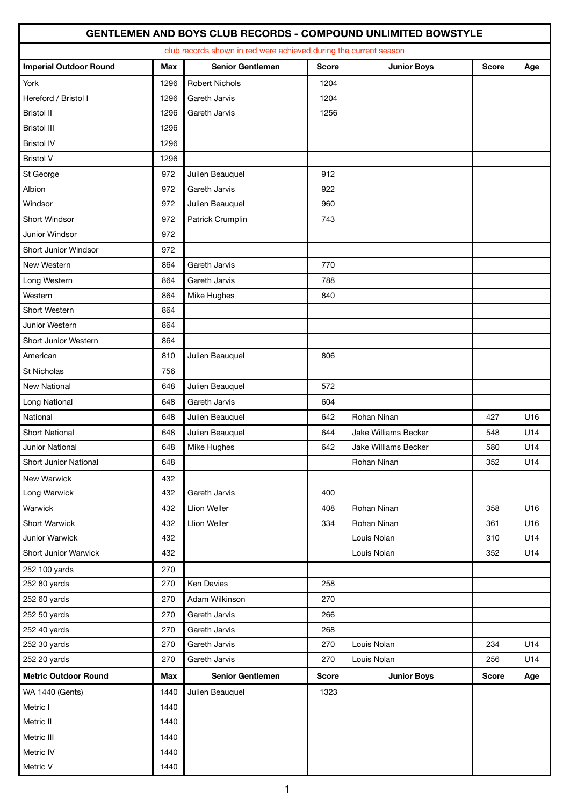|                               |            |                                                                   |              | <b>GENTLEMEN AND BOYS CLUB RECORDS - COMPOUND UNLIMITED BOWSTYLE</b> |              |     |
|-------------------------------|------------|-------------------------------------------------------------------|--------------|----------------------------------------------------------------------|--------------|-----|
|                               |            | club records shown in red were achieved during the current season |              |                                                                      |              |     |
| <b>Imperial Outdoor Round</b> | <b>Max</b> | <b>Senior Gentlemen</b>                                           | <b>Score</b> | <b>Junior Boys</b>                                                   | <b>Score</b> | Age |
| York                          | 1296       | <b>Robert Nichols</b>                                             | 1204         |                                                                      |              |     |
| Hereford / Bristol I          | 1296       | Gareth Jarvis                                                     | 1204         |                                                                      |              |     |
| <b>Bristol II</b>             | 1296       | Gareth Jarvis                                                     | 1256         |                                                                      |              |     |
| <b>Bristol III</b>            | 1296       |                                                                   |              |                                                                      |              |     |
| <b>Bristol IV</b>             | 1296       |                                                                   |              |                                                                      |              |     |
| <b>Bristol V</b>              | 1296       |                                                                   |              |                                                                      |              |     |
| St George                     | 972        | Julien Beauquel                                                   | 912          |                                                                      |              |     |
| Albion                        | 972        | Gareth Jarvis                                                     | 922          |                                                                      |              |     |
| Windsor                       | 972        | Julien Beauquel                                                   | 960          |                                                                      |              |     |
| Short Windsor                 | 972        | Patrick Crumplin                                                  | 743          |                                                                      |              |     |
| Junior Windsor                | 972        |                                                                   |              |                                                                      |              |     |
| Short Junior Windsor          | 972        |                                                                   |              |                                                                      |              |     |
| New Western                   | 864        | Gareth Jarvis                                                     | 770          |                                                                      |              |     |
| Long Western                  | 864        | Gareth Jarvis                                                     | 788          |                                                                      |              |     |
| Western                       | 864        | Mike Hughes                                                       | 840          |                                                                      |              |     |
| Short Western                 | 864        |                                                                   |              |                                                                      |              |     |
| Junior Western                | 864        |                                                                   |              |                                                                      |              |     |
| Short Junior Western          | 864        |                                                                   |              |                                                                      |              |     |
| American                      | 810        | Julien Beauquel                                                   | 806          |                                                                      |              |     |
| <b>St Nicholas</b>            | 756        |                                                                   |              |                                                                      |              |     |
| New National                  | 648        | Julien Beauquel                                                   | 572          |                                                                      |              |     |
| Long National                 | 648        | Gareth Jarvis                                                     | 604          |                                                                      |              |     |
| National                      | 648        | Julien Beauquel                                                   | 642          | Rohan Ninan                                                          | 427          | U16 |
| <b>Short National</b>         | 648        | Julien Beauquel                                                   | 644          | Jake Williams Becker                                                 | 548          | U14 |
| Junior National               | 648        | Mike Hughes                                                       | 642          | Jake Williams Becker                                                 | 580          | U14 |
| Short Junior National         | 648        |                                                                   |              | Rohan Ninan                                                          | 352          | U14 |
| New Warwick                   | 432        |                                                                   |              |                                                                      |              |     |
| Long Warwick                  | 432        | Gareth Jarvis                                                     | 400          |                                                                      |              |     |
| Warwick                       | 432        | Llion Weller                                                      | 408          | Rohan Ninan                                                          | 358          | U16 |
| Short Warwick                 | 432        | Llion Weller                                                      | 334          | Rohan Ninan                                                          | 361          | U16 |
| Junior Warwick                | 432        |                                                                   |              | Louis Nolan                                                          | 310          | U14 |
| Short Junior Warwick          | 432        |                                                                   |              | Louis Nolan                                                          | 352          | U14 |
| 252 100 yards                 | 270        |                                                                   |              |                                                                      |              |     |
| 252 80 yards                  | 270        | Ken Davies                                                        | 258          |                                                                      |              |     |
| 252 60 yards                  | 270        | Adam Wilkinson                                                    | 270          |                                                                      |              |     |
| 252 50 yards                  | 270        | Gareth Jarvis                                                     | 266          |                                                                      |              |     |
| 252 40 yards                  | 270        | Gareth Jarvis                                                     | 268          |                                                                      |              |     |
| 252 30 yards                  | 270        | Gareth Jarvis                                                     | 270          | Louis Nolan                                                          | 234          | U14 |
| 252 20 yards                  | 270        | Gareth Jarvis                                                     | 270          | Louis Nolan                                                          | 256          | U14 |
| <b>Metric Outdoor Round</b>   | Max        | <b>Senior Gentlemen</b>                                           | <b>Score</b> | <b>Junior Boys</b>                                                   | <b>Score</b> | Age |
| <b>WA 1440 (Gents)</b>        | 1440       | Julien Beauquel                                                   | 1323         |                                                                      |              |     |
| Metric I                      | 1440       |                                                                   |              |                                                                      |              |     |
| Metric II                     | 1440       |                                                                   |              |                                                                      |              |     |
| Metric III                    | 1440       |                                                                   |              |                                                                      |              |     |
| Metric IV                     | 1440       |                                                                   |              |                                                                      |              |     |
| Metric V                      | 1440       |                                                                   |              |                                                                      |              |     |